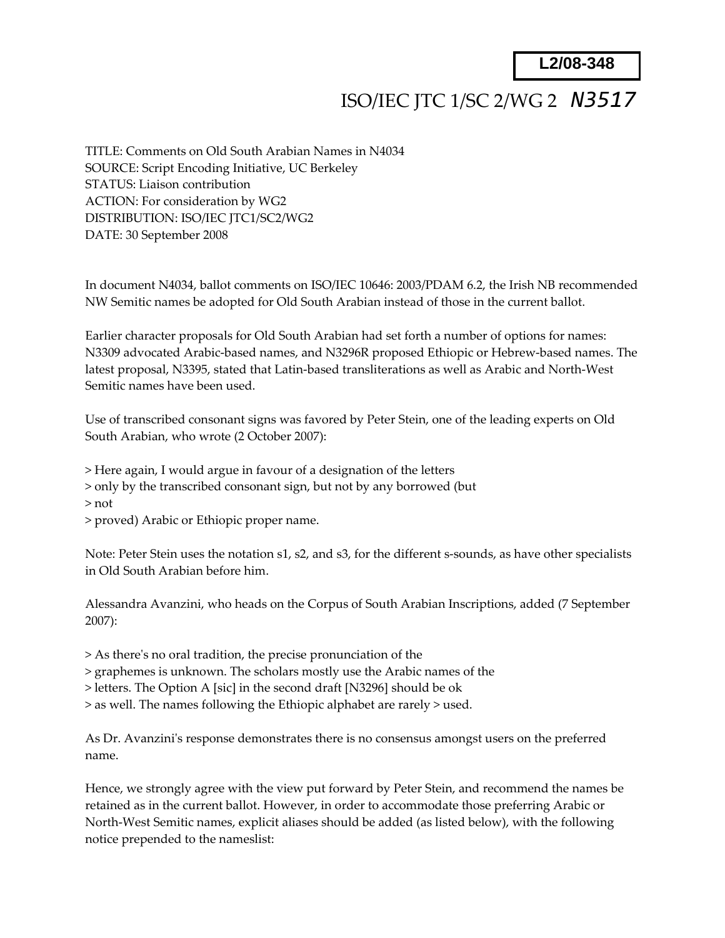**L2/08-348**

## ISO/IEC JTC 1/SC 2/WG 2 *N3517*

TITLE: Comments on Old South Arabian Names in N4034 SOURCE: Script Encoding Initiative, UC Berkeley STATUS: Liaison contribution ACTION: For consideration by WG2 DISTRIBUTION: ISO/IEC JTC1/SC2/WG2 DATE: 30 September 2008

In document N4034, ballot comments on ISO/IEC 10646: 2003/PDAM 6.2, the Irish NB recommended NW Semitic names be adopted for Old South Arabian instead of those in the current ballot.

Earlier character proposals for Old South Arabian had set forth a number of options for names: N3309 advocated Arabic‐based names, and N3296R proposed Ethiopic or Hebrew‐based names. The latest proposal, N3395, stated that Latin‐based transliterations as well as Arabic and North‐West Semitic names have been used.

Use of transcribed consonant signs was favored by Peter Stein, one of the leading experts on Old South Arabian, who wrote (2 October 2007):

> Here again, I would argue in favour of a designation of the letters

> only by the transcribed consonant sign, but not by any borrowed (but

> not

> proved) Arabic or Ethiopic proper name.

Note: Peter Stein uses the notation s1, s2, and s3, for the different s-sounds, as have other specialists in Old South Arabian before him.

Alessandra Avanzini, who heads on the Corpus of South Arabian Inscriptions, added (7 September 2007):

> As thereʹs no oral tradition, the precise pronunciation of the

> graphemes is unknown. The scholars mostly use the Arabic names of the

> letters. The Option A [sic] in the second draft [N3296] should be ok

> as well. The names following the Ethiopic alphabet are rarely > used.

As Dr. Avanzini's response demonstrates there is no consensus amongst users on the preferred name.

Hence, we strongly agree with the view put forward by Peter Stein, and recommend the names be retained as in the current ballot. However, in order to accommodate those preferring Arabic or North‐West Semitic names, explicit aliases should be added (as listed below), with the following notice prepended to the nameslist: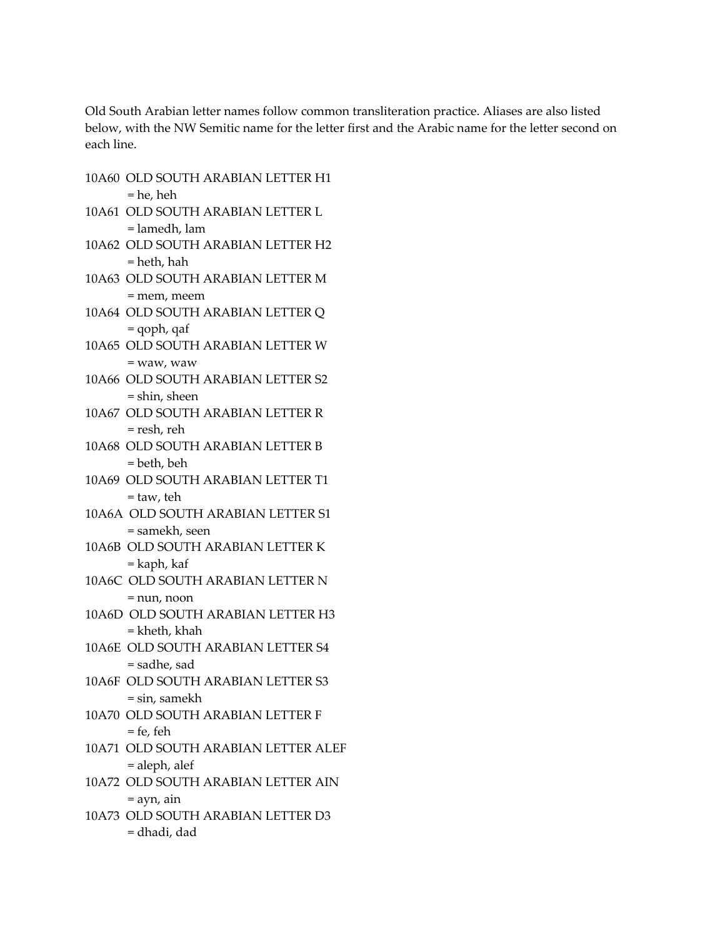Old South Arabian letter names follow common transliteration practice. Aliases are also listed below, with the NW Semitic name for the letter first and the Arabic name for the letter second on each line.

- 10A60 OLD SOUTH ARABIAN LETTER H1  $=$  he, heh
- 10A61 OLD SOUTH ARABIAN LETTER L = lamedh, lam
- 10A62 OLD SOUTH ARABIAN LETTER H2  $=$  heth, hah
- 10A63 OLD SOUTH ARABIAN LETTER M  $=$  mem, meem
- 10A64 OLD SOUTH ARABIAN LETTER Q  $=$  qoph, qaf
- 10A65 OLD SOUTH ARABIAN LETTER W  $=$  waw, waw
- 10A66 OLD SOUTH ARABIAN LETTER S2  $=$  shin, sheen
- 10A67 OLD SOUTH ARABIAN LETTER R = resh, reh
- 10A68 OLD SOUTH ARABIAN LETTER B  $=$  beth, beh
- 10A69 OLD SOUTH ARABIAN LETTER T1  $=$  taw, teh
- 10A6A OLD SOUTH ARABIAN LETTER S1 = samekh, seen
- 10A6B OLD SOUTH ARABIAN LETTER K  $=$  kaph, kaf
- 10A6C OLD SOUTH ARABIAN LETTER N  $=$  nun. noon
- 10A6D OLD SOUTH ARABIAN LETTER H3 = kheth, khah
- 10A6E OLD SOUTH ARABIAN LETTER S4 = sadhe, sad
- 10A6F OLD SOUTH ARABIAN LETTER S3  $=$  sin, samekh
- 10A70 OLD SOUTH ARABIAN LETTER F  $=$  fe, feh
- 10A71 OLD SOUTH ARABIAN LETTER ALEF  $=$  aleph, alef
- 10A72 OLD SOUTH ARABIAN LETTER AIN  $=$  ayn, ain
- 10A73 OLD SOUTH ARABIAN LETTER D3 = dhadi, dad